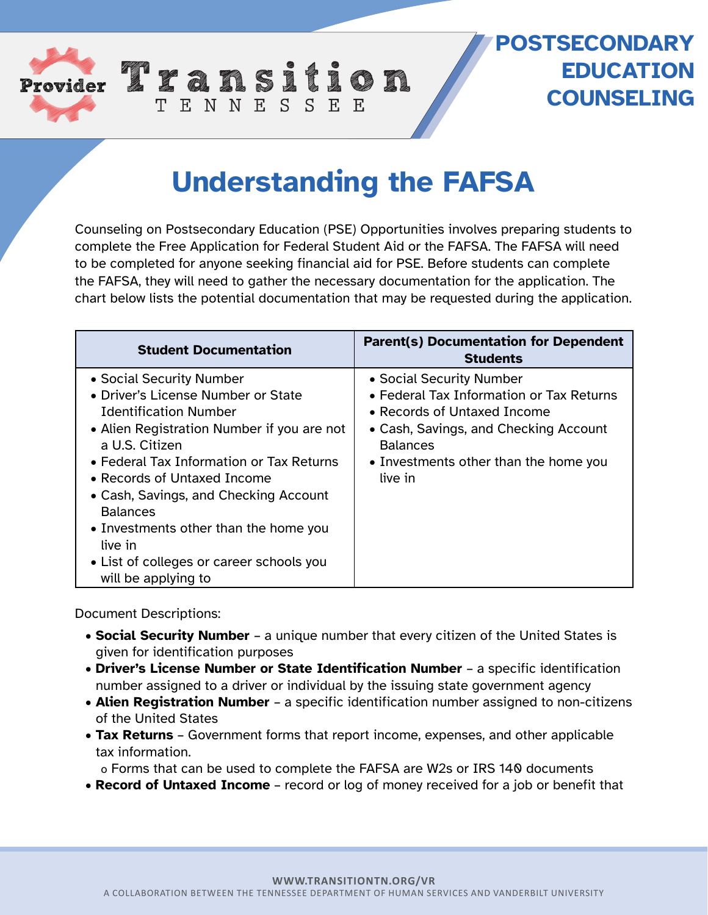

## **POSTSECONDARY EDUCATION COUNSELING**

# **Understanding the FAFSA**

TENNESSEE

Counseling on Postsecondary Education (PSE) Opportunities involves preparing students to complete the Free Application for Federal Student Aid or the FAFSA. The FAFSA will need to be completed for anyone seeking financial aid for PSE. Before students can complete the FAFSA, they will need to gather the necessary documentation for the application. The chart below lists the potential documentation that may be requested during the application.

| <b>Student Documentation</b>                                                                                                                                                                                                                                                                                                                                                                                                         | <b>Parent(s) Documentation for Dependent</b><br><b>Students</b>                                                                                                                                                     |
|--------------------------------------------------------------------------------------------------------------------------------------------------------------------------------------------------------------------------------------------------------------------------------------------------------------------------------------------------------------------------------------------------------------------------------------|---------------------------------------------------------------------------------------------------------------------------------------------------------------------------------------------------------------------|
| • Social Security Number<br>• Driver's License Number or State<br><b>Identification Number</b><br>• Alien Registration Number if you are not<br>a U.S. Citizen<br>• Federal Tax Information or Tax Returns<br>$\bullet$ Records of Untaxed Income<br>• Cash, Savings, and Checking Account<br><b>Balances</b><br>• Investments other than the home you<br>live in<br>• List of colleges or career schools you<br>will be applying to | • Social Security Number<br>• Federal Tax Information or Tax Returns<br>• Records of Untaxed Income<br>• Cash, Savings, and Checking Account<br><b>Balances</b><br>• Investments other than the home you<br>live in |

Document Descriptions:

- **Social Security Number**  a unique number that every citizen of the United States is given for identification purposes
- **Driver's License Number or State Identification Number**  a specific identification number assigned to a driver or individual by the issuing state government agency
- **Alien Registration Number**  a specific identification number assigned to non-citizens of the United States
- **Tax Returns** Government forms that report income, expenses, and other applicable tax information.

o Forms that can be used to complete the FAFSA are W2s or IRS 140 documents

• **Record of Untaxed Income** – record or log of money received for a job or benefit that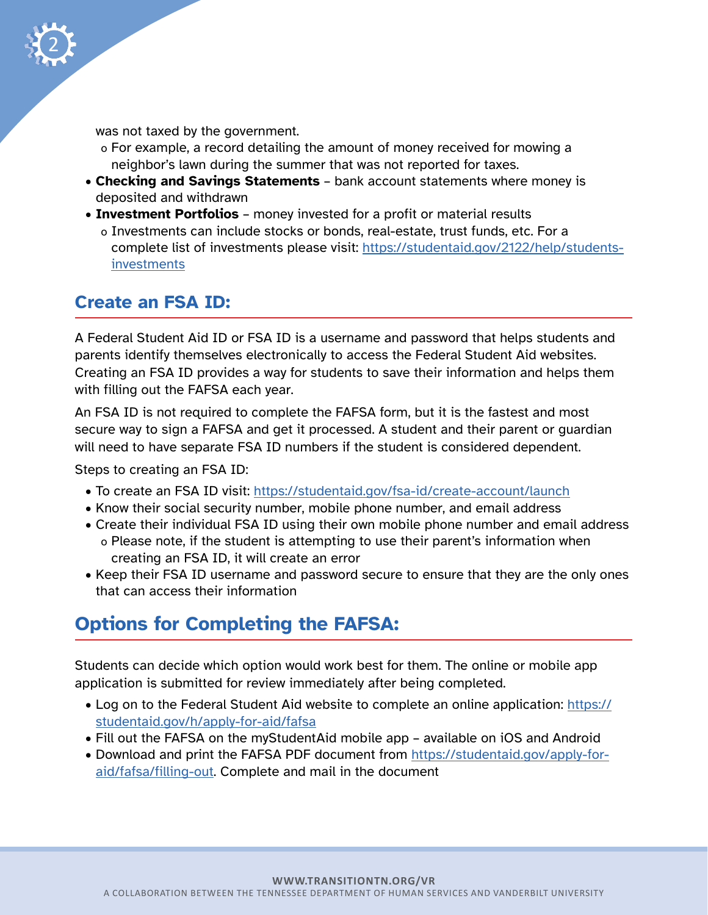

was not taxed by the government.

- o For example, a record detailing the amount of money received for mowing a neighbor's lawn during the summer that was not reported for taxes.
- **Checking and Savings Statements** bank account statements where money is deposited and withdrawn
- **Investment Portfolios** money invested for a profit or material results o Investments can include stocks or bonds, real-estate, trust funds, etc. For a complete list of investments please visit: [https://studentaid.gov/2122/help/students](https://studentaid.gov/2122/help/students-investments)[investments](https://studentaid.gov/2122/help/students-investments)

#### **Create an FSA ID:**

A Federal Student Aid ID or FSA ID is a username and password that helps students and parents identify themselves electronically to access the Federal Student Aid websites. Creating an FSA ID provides a way for students to save their information and helps them with filling out the FAFSA each year.

An FSA ID is not required to complete the FAFSA form, but it is the fastest and most secure way to sign a FAFSA and get it processed. A student and their parent or guardian will need to have separate FSA ID numbers if the student is considered dependent.

Steps to creating an FSA ID:

- To create an FSA ID visit: <https://studentaid.gov/fsa-id/create-account/launch>
- Know their social security number, mobile phone number, and email address
- Create their individual FSA ID using their own mobile phone number and email address o Please note, if the student is attempting to use their parent's information when creating an FSA ID, it will create an error
- Keep their FSA ID username and password secure to ensure that they are the only ones that can access their information

## **Options for Completing the FAFSA:**

Students can decide which option would work best for them. The online or mobile app application is submitted for review immediately after being completed.

- Log on to the Federal Student Aid website to complete an online application: [https://](https://studentaid.gov/h/apply-for-aid/fafsa) [studentaid.gov/h/apply-for-aid/fafsa](https://studentaid.gov/h/apply-for-aid/fafsa)
- Fill out the FAFSA on the myStudentAid mobile app available on iOS and Android
- Download and print the FAFSA PDF document from [https://studentaid.gov/apply-for](https://studentaid.gov/apply-for-aid/fafsa/filling-out)[aid/fafsa/filling-out.](https://studentaid.gov/apply-for-aid/fafsa/filling-out) Complete and mail in the document